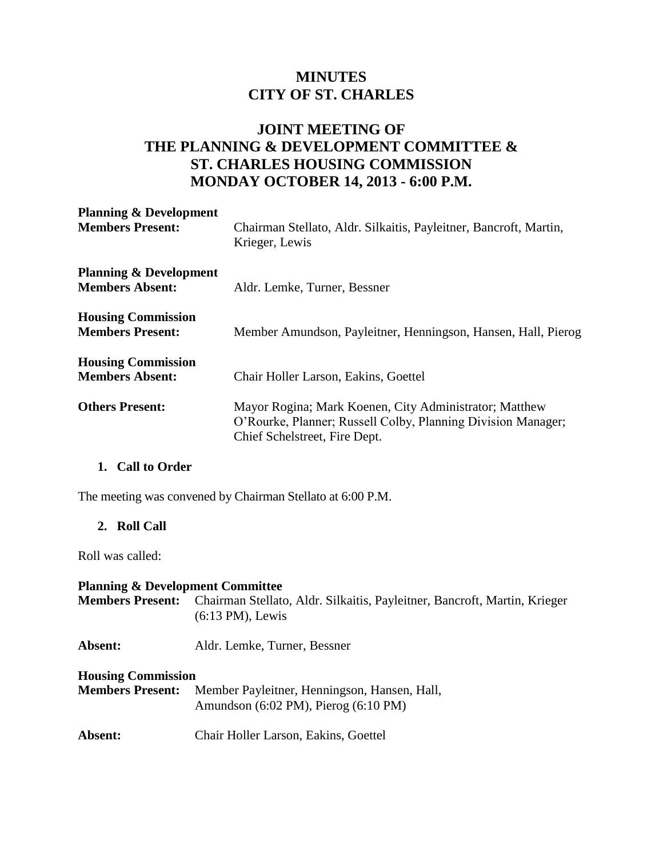# **MINUTES CITY OF ST. CHARLES**

## **JOINT MEETING OF THE PLANNING & DEVELOPMENT COMMITTEE & ST. CHARLES HOUSING COMMISSION MONDAY OCTOBER 14, 2013 - 6:00 P.M.**

| <b>Planning &amp; Development</b><br><b>Members Present:</b> | Chairman Stellato, Aldr. Silkaitis, Payleitner, Bancroft, Martin,<br>Krieger, Lewis                                                                     |
|--------------------------------------------------------------|---------------------------------------------------------------------------------------------------------------------------------------------------------|
| <b>Planning &amp; Development</b><br><b>Members Absent:</b>  | Aldr. Lemke, Turner, Bessner                                                                                                                            |
| <b>Housing Commission</b><br><b>Members Present:</b>         | Member Amundson, Payleitner, Henningson, Hansen, Hall, Pierog                                                                                           |
| <b>Housing Commission</b><br><b>Members Absent:</b>          | Chair Holler Larson, Eakins, Goettel                                                                                                                    |
| <b>Others Present:</b>                                       | Mayor Rogina; Mark Koenen, City Administrator; Matthew<br>O'Rourke, Planner; Russell Colby, Planning Division Manager;<br>Chief Schelstreet, Fire Dept. |

#### **1. Call to Order**

The meeting was convened by Chairman Stellato at 6:00 P.M.

#### **2. Roll Call**

Roll was called:

#### **Planning & Development Committee**

**Members Present:** Chairman Stellato, Aldr. Silkaitis, Payleitner, Bancroft, Martin, Krieger (6:13 PM), Lewis

**Absent:** Aldr. Lemke, Turner, Bessner

#### **Housing Commission**

- **Members Present:** Member Payleitner, Henningson, Hansen, Hall, Amundson (6:02 PM), Pierog (6:10 PM)
- **Absent:** Chair Holler Larson, Eakins, Goettel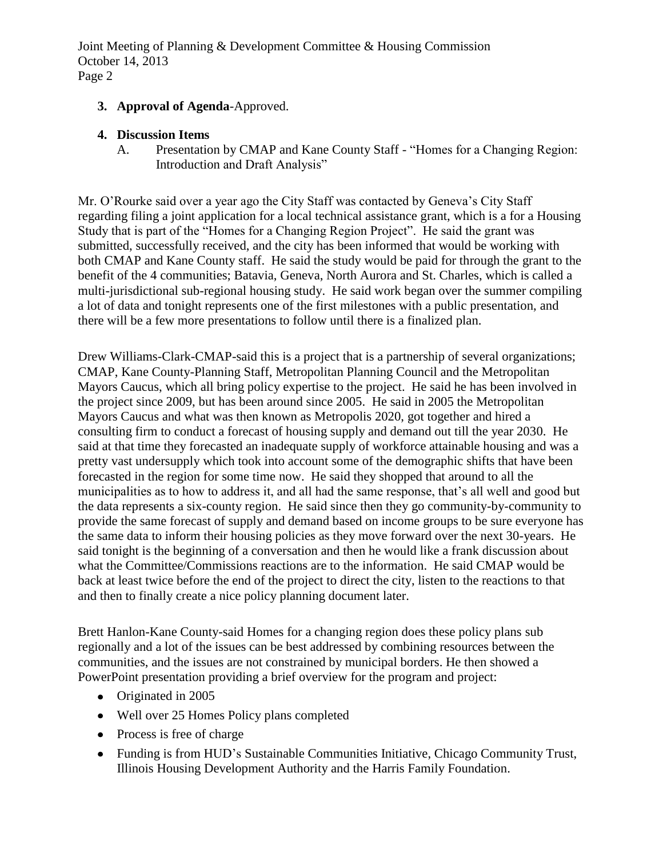- **3. Approval of Agenda**-Approved.
- **4. Discussion Items**
	- A. Presentation by CMAP and Kane County Staff "Homes for a Changing Region: Introduction and Draft Analysis"

Mr. O'Rourke said over a year ago the City Staff was contacted by Geneva's City Staff regarding filing a joint application for a local technical assistance grant, which is a for a Housing Study that is part of the "Homes for a Changing Region Project". He said the grant was submitted, successfully received, and the city has been informed that would be working with both CMAP and Kane County staff. He said the study would be paid for through the grant to the benefit of the 4 communities; Batavia, Geneva, North Aurora and St. Charles, which is called a multi-jurisdictional sub-regional housing study. He said work began over the summer compiling a lot of data and tonight represents one of the first milestones with a public presentation, and there will be a few more presentations to follow until there is a finalized plan.

Drew Williams-Clark-CMAP-said this is a project that is a partnership of several organizations; CMAP, Kane County-Planning Staff, Metropolitan Planning Council and the Metropolitan Mayors Caucus, which all bring policy expertise to the project. He said he has been involved in the project since 2009, but has been around since 2005. He said in 2005 the Metropolitan Mayors Caucus and what was then known as Metropolis 2020, got together and hired a consulting firm to conduct a forecast of housing supply and demand out till the year 2030. He said at that time they forecasted an inadequate supply of workforce attainable housing and was a pretty vast undersupply which took into account some of the demographic shifts that have been forecasted in the region for some time now. He said they shopped that around to all the municipalities as to how to address it, and all had the same response, that's all well and good but the data represents a six-county region. He said since then they go community-by-community to provide the same forecast of supply and demand based on income groups to be sure everyone has the same data to inform their housing policies as they move forward over the next 30-years. He said tonight is the beginning of a conversation and then he would like a frank discussion about what the Committee/Commissions reactions are to the information. He said CMAP would be back at least twice before the end of the project to direct the city, listen to the reactions to that and then to finally create a nice policy planning document later.

Brett Hanlon-Kane County-said Homes for a changing region does these policy plans sub regionally and a lot of the issues can be best addressed by combining resources between the communities, and the issues are not constrained by municipal borders. He then showed a PowerPoint presentation providing a brief overview for the program and project:

- Originated in 2005
- Well over 25 Homes Policy plans completed
- Process is free of charge
- Funding is from HUD's Sustainable Communities Initiative, Chicago Community Trust, Illinois Housing Development Authority and the Harris Family Foundation.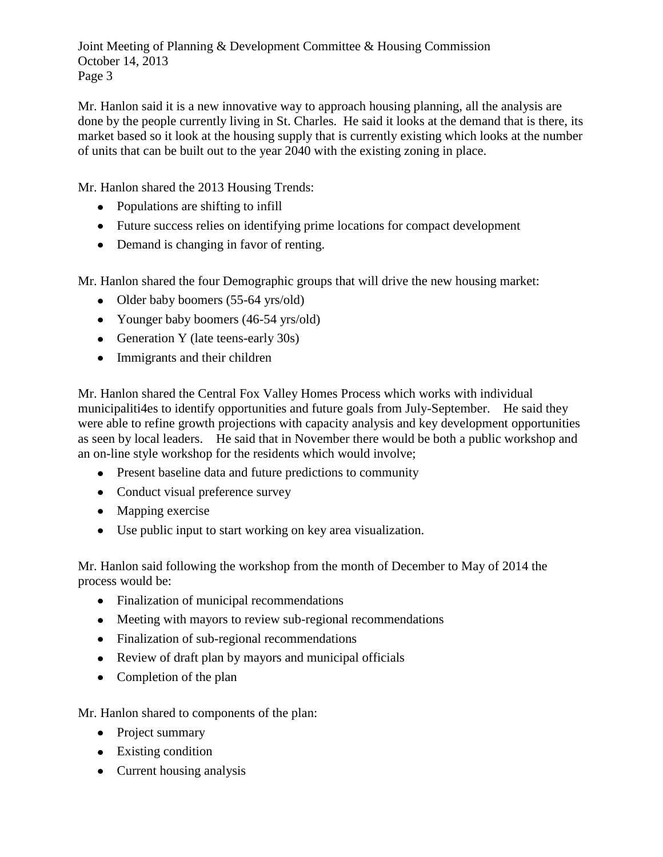Mr. Hanlon said it is a new innovative way to approach housing planning, all the analysis are done by the people currently living in St. Charles. He said it looks at the demand that is there, its market based so it look at the housing supply that is currently existing which looks at the number of units that can be built out to the year 2040 with the existing zoning in place.

Mr. Hanlon shared the 2013 Housing Trends:

- Populations are shifting to infill
- Future success relies on identifying prime locations for compact development
- Demand is changing in favor of renting.

Mr. Hanlon shared the four Demographic groups that will drive the new housing market:

- Older baby boomers (55-64 yrs/old)
- Younger baby boomers (46-54 yrs/old)
- Generation Y (late teens-early 30s)
- Immigrants and their children

Mr. Hanlon shared the Central Fox Valley Homes Process which works with individual municipaliti4es to identify opportunities and future goals from July-September. He said they were able to refine growth projections with capacity analysis and key development opportunities as seen by local leaders. He said that in November there would be both a public workshop and an on-line style workshop for the residents which would involve;

- Present baseline data and future predictions to community
- Conduct visual preference survey
- Mapping exercise
- Use public input to start working on key area visualization.

Mr. Hanlon said following the workshop from the month of December to May of 2014 the process would be:

- Finalization of municipal recommendations
- Meeting with mayors to review sub-regional recommendations
- Finalization of sub-regional recommendations
- Review of draft plan by mayors and municipal officials
- Completion of the plan

Mr. Hanlon shared to components of the plan:

- Project summary
- Existing condition
- Current housing analysis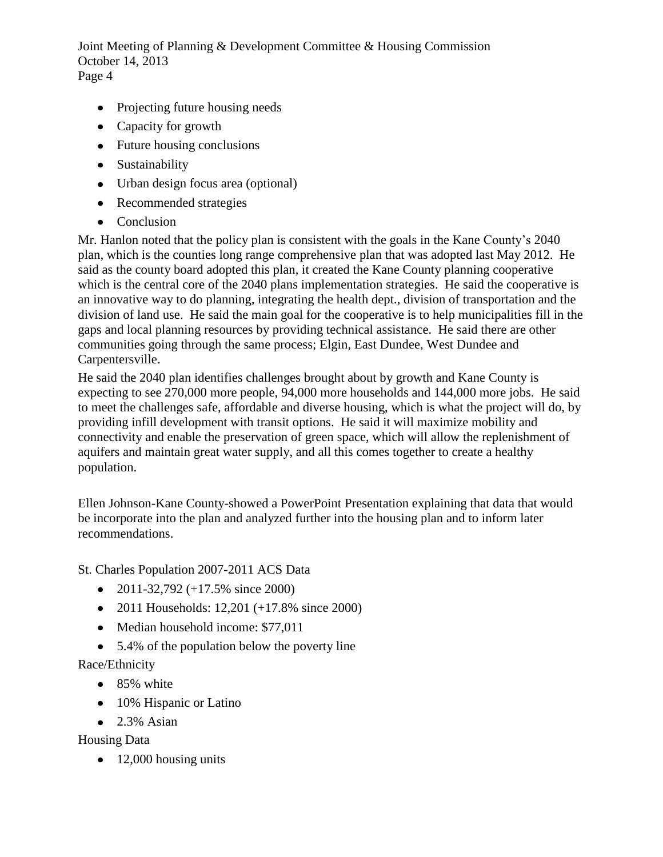- Projecting future housing needs
- Capacity for growth
- Future housing conclusions
- Sustainability
- Urban design focus area (optional)
- Recommended strategies
- Conclusion

Mr. Hanlon noted that the policy plan is consistent with the goals in the Kane County's 2040 plan, which is the counties long range comprehensive plan that was adopted last May 2012. He said as the county board adopted this plan, it created the Kane County planning cooperative which is the central core of the 2040 plans implementation strategies. He said the cooperative is an innovative way to do planning, integrating the health dept., division of transportation and the division of land use. He said the main goal for the cooperative is to help municipalities fill in the gaps and local planning resources by providing technical assistance. He said there are other communities going through the same process; Elgin, East Dundee, West Dundee and Carpentersville.

He said the 2040 plan identifies challenges brought about by growth and Kane County is expecting to see 270,000 more people, 94,000 more households and 144,000 more jobs. He said to meet the challenges safe, affordable and diverse housing, which is what the project will do, by providing infill development with transit options. He said it will maximize mobility and connectivity and enable the preservation of green space, which will allow the replenishment of aquifers and maintain great water supply, and all this comes together to create a healthy population.

Ellen Johnson-Kane County-showed a PowerPoint Presentation explaining that data that would be incorporate into the plan and analyzed further into the housing plan and to inform later recommendations.

St. Charles Population 2007-2011 ACS Data

- 2011-32,792 (+17.5% since 2000)
- 2011 Households:  $12,201 (+17.8\% \text{ since } 2000)$
- Median household income: \$77,011
- 5.4% of the population below the poverty line

Race/Ethnicity

- 85% white
- 10% Hispanic or Latino
- $\bullet$  2.3% Asian

Housing Data

 $\bullet$  12,000 housing units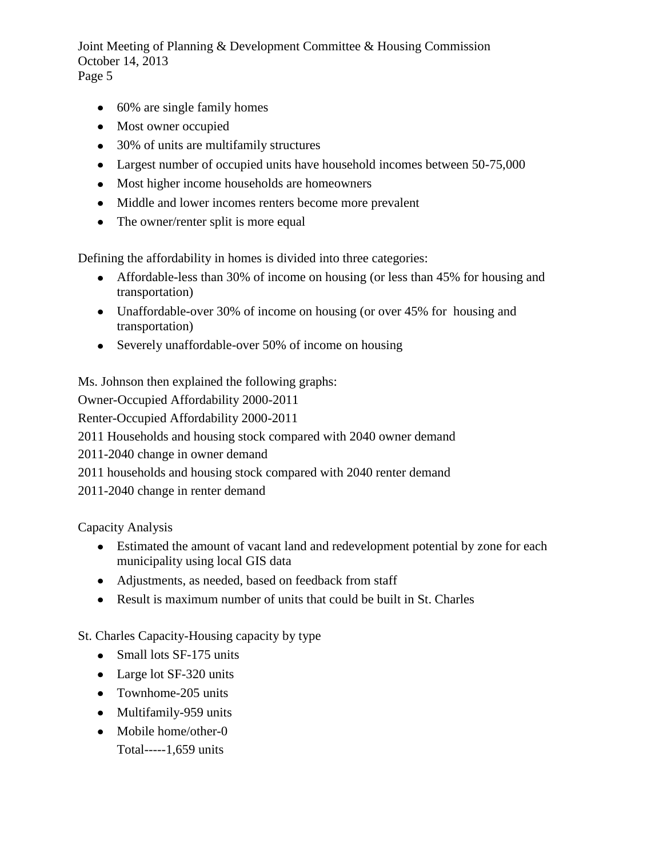- 60% are single family homes
- Most owner occupied
- 30% of units are multifamily structures
- Largest number of occupied units have household incomes between 50-75,000
- Most higher income households are homeowners
- Middle and lower incomes renters become more prevalent
- The owner/renter split is more equal

Defining the affordability in homes is divided into three categories:

- Affordable-less than 30% of income on housing (or less than 45% for housing and transportation)
- Unaffordable-over 30% of income on housing (or over 45% for housing and transportation)
- Severely unaffordable-over 50% of income on housing

Ms. Johnson then explained the following graphs:

Owner-Occupied Affordability 2000-2011

Renter-Occupied Affordability 2000-2011

2011 Households and housing stock compared with 2040 owner demand

2011-2040 change in owner demand

2011 households and housing stock compared with 2040 renter demand

2011-2040 change in renter demand

Capacity Analysis

- Estimated the amount of vacant land and redevelopment potential by zone for each municipality using local GIS data
- Adjustments, as needed, based on feedback from staff
- Result is maximum number of units that could be built in St. Charles

St. Charles Capacity-Housing capacity by type

- Small lots SF-175 units
- Large lot SF-320 units
- Townhome-205 units
- Multifamily-959 units
- Mobile home/other-0 Total-----1,659 units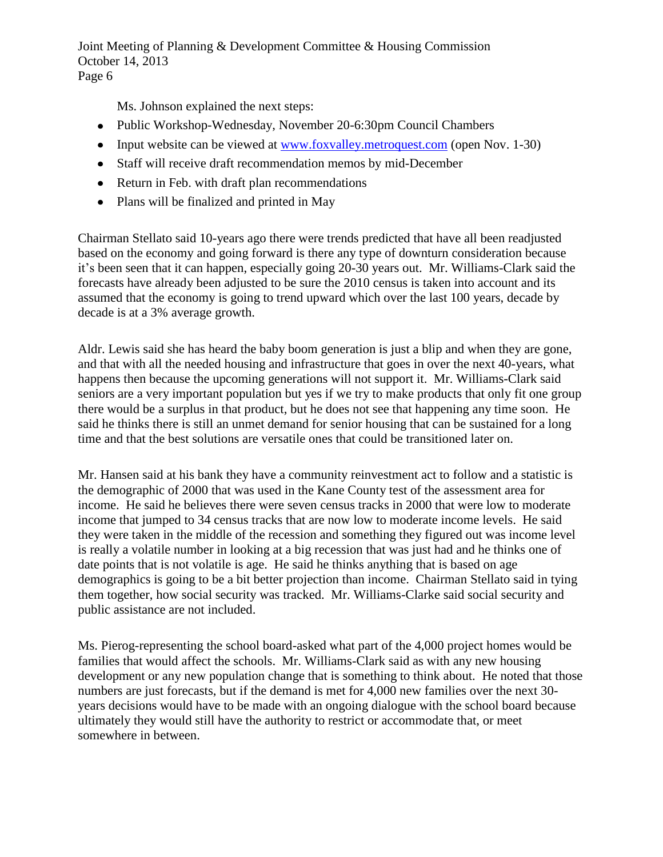Ms. Johnson explained the next steps:

- Public Workshop-Wednesday, November 20-6:30pm Council Chambers
- Input website can be viewed at [www.foxvalley.metroquest.com](http://www.foxvalley.metroquest.com/) (open Nov. 1-30)
- Staff will receive draft recommendation memos by mid-December
- Return in Feb. with draft plan recommendations
- Plans will be finalized and printed in May

Chairman Stellato said 10-years ago there were trends predicted that have all been readjusted based on the economy and going forward is there any type of downturn consideration because it's been seen that it can happen, especially going 20-30 years out. Mr. Williams-Clark said the forecasts have already been adjusted to be sure the 2010 census is taken into account and its assumed that the economy is going to trend upward which over the last 100 years, decade by decade is at a 3% average growth.

Aldr. Lewis said she has heard the baby boom generation is just a blip and when they are gone, and that with all the needed housing and infrastructure that goes in over the next 40-years, what happens then because the upcoming generations will not support it. Mr. Williams-Clark said seniors are a very important population but yes if we try to make products that only fit one group there would be a surplus in that product, but he does not see that happening any time soon. He said he thinks there is still an unmet demand for senior housing that can be sustained for a long time and that the best solutions are versatile ones that could be transitioned later on.

Mr. Hansen said at his bank they have a community reinvestment act to follow and a statistic is the demographic of 2000 that was used in the Kane County test of the assessment area for income. He said he believes there were seven census tracks in 2000 that were low to moderate income that jumped to 34 census tracks that are now low to moderate income levels. He said they were taken in the middle of the recession and something they figured out was income level is really a volatile number in looking at a big recession that was just had and he thinks one of date points that is not volatile is age. He said he thinks anything that is based on age demographics is going to be a bit better projection than income. Chairman Stellato said in tying them together, how social security was tracked. Mr. Williams-Clarke said social security and public assistance are not included.

Ms. Pierog-representing the school board-asked what part of the 4,000 project homes would be families that would affect the schools. Mr. Williams-Clark said as with any new housing development or any new population change that is something to think about. He noted that those numbers are just forecasts, but if the demand is met for 4,000 new families over the next 30 years decisions would have to be made with an ongoing dialogue with the school board because ultimately they would still have the authority to restrict or accommodate that, or meet somewhere in between.